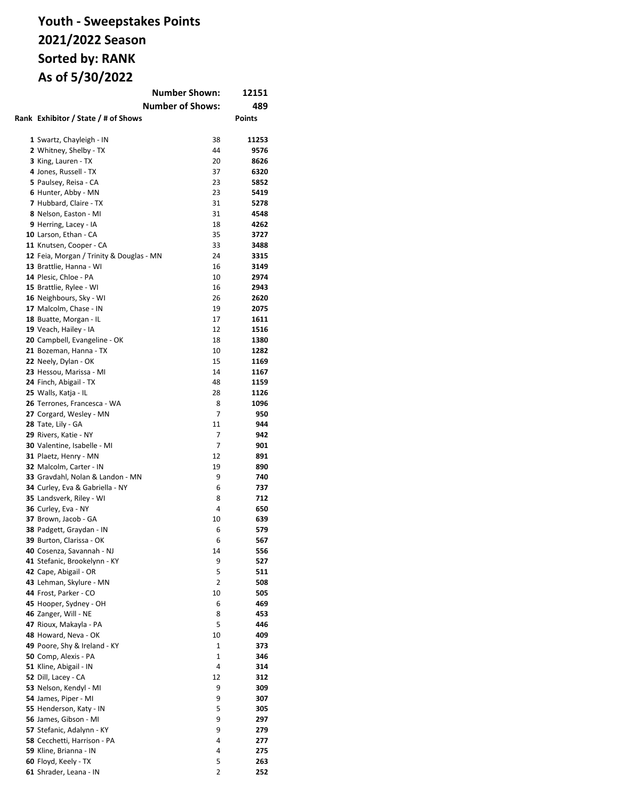## **Youth - Sweepstakes Points 2021/2022 Season Sorted by: RANK As of 5/30/2022**

| <b>Number Shown:</b><br>12151                         |          |               |  |
|-------------------------------------------------------|----------|---------------|--|
| <b>Number of Shows:</b>                               |          | 489           |  |
| Rank Exhibitor / State / # of Shows                   |          | <b>Points</b> |  |
| 1 Swartz, Chayleigh - IN                              | 38       | 11253         |  |
| 2 Whitney, Shelby - TX                                | 44       | 9576          |  |
| 3 King, Lauren - TX                                   | 20       | 8626          |  |
| 4 Jones, Russell - TX                                 | 37       | 6320          |  |
| 5 Paulsey, Reisa - CA                                 | 23       | 5852          |  |
| 6 Hunter, Abby - MN                                   | 23       | 5419          |  |
| 7 Hubbard, Claire - TX                                | 31       | 5278          |  |
| 8 Nelson, Easton - MI                                 | 31       | 4548          |  |
| 9 Herring, Lacey - IA                                 | 18       | 4262          |  |
| 10 Larson, Ethan - CA<br>11 Knutsen, Cooper - CA      | 35<br>33 | 3727<br>3488  |  |
| 12 Feia, Morgan / Trinity & Douglas - MN              | 24       | 3315          |  |
| 13 Brattlie, Hanna - WI                               | 16       | 3149          |  |
| 14 Plesic, Chloe - PA                                 | 10       | 2974          |  |
| 15 Brattlie, Rylee - WI                               | 16       | 2943          |  |
| 16 Neighbours, Sky - WI                               | 26       | 2620          |  |
| 17 Malcolm, Chase - IN                                | 19       | 2075          |  |
| 18 Buatte, Morgan - IL                                | 17       | 1611          |  |
| 19 Veach, Hailey - IA                                 | 12       | 1516          |  |
| 20 Campbell, Evangeline - OK                          | 18       | 1380          |  |
| 21 Bozeman, Hanna - TX                                | 10       | 1282          |  |
| 22 Neely, Dylan - OK                                  | 15       | 1169          |  |
| 23 Hessou, Marissa - MI                               | 14       | 1167          |  |
| 24 Finch, Abigail - TX                                | 48       | 1159          |  |
| 25 Walls, Katja - IL<br>26 Terrones, Francesca - WA   | 28<br>8  | 1126<br>1096  |  |
| 27 Corgard, Wesley - MN                               | 7        | 950           |  |
| 28 Tate, Lily - GA                                    | 11       | 944           |  |
| 29 Rivers, Katie - NY                                 | 7        | 942           |  |
| 30 Valentine, Isabelle - MI                           | 7        | 901           |  |
| 31 Plaetz, Henry - MN                                 | 12       | 891           |  |
| 32 Malcolm, Carter - IN                               | 19       | 890           |  |
| 33 Gravdahl, Nolan & Landon - MN                      | 9        | 740           |  |
| 34 Curley, Eva & Gabriella - NY                       | 6        | 737           |  |
| 35 Landsverk, Riley - WI                              | 8        | 712           |  |
| 36 Curley, Eva - NY                                   | 4        | 650           |  |
| 37 Brown, Jacob - GA                                  | 10       | 639           |  |
| 38 Padgett, Graydan - IN                              | 6        | 579           |  |
| 39 Burton, Clarissa - OK                              | 6        | 567           |  |
| 40 Cosenza, Savannah - NJ                             | 14<br>9  | 556<br>527    |  |
| 41 Stefanic, Brookelynn - KY<br>42 Cape, Abigail - OR | 5        | 511           |  |
| 43 Lehman, Skylure - MN                               | 2        | 508           |  |
| 44 Frost, Parker - CO                                 | 10       | 505           |  |
| 45 Hooper, Sydney - OH                                | 6        | 469           |  |
| 46 Zanger, Will - NE                                  | 8        | 453           |  |
| 47 Rioux, Makayla - PA                                | 5        | 446           |  |
| 48 Howard, Neva - OK                                  | 10       | 409           |  |
| 49 Poore, Shy & Ireland - KY                          | 1        | 373           |  |
| 50 Comp, Alexis - PA                                  | 1        | 346           |  |
| 51 Kline, Abigail - IN                                | 4        | 314           |  |
| 52 Dill, Lacey - CA                                   | 12       | 312           |  |
| 53 Nelson, Kendyl - MI                                | 9<br>9   | 309           |  |
| 54 James, Piper - MI<br>55 Henderson, Katy - IN       | 5        | 307<br>305    |  |
| 56 James, Gibson - MI                                 | 9        | 297           |  |
| 57 Stefanic, Adalynn - KY                             | 9        | 279           |  |
| 58 Cecchetti, Harrison - PA                           | 4        | 277           |  |
| 59 Kline, Brianna - IN                                | 4        | 275           |  |
| 60 Floyd, Keely - TX                                  | 5        | 263           |  |
| 61 Shrader, Leana - IN                                | 2        | 252           |  |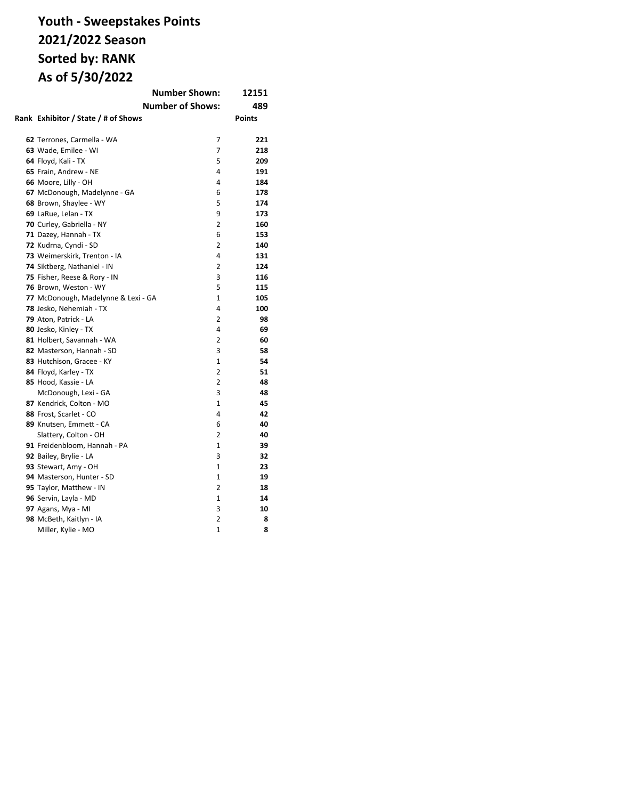## **Youth - Sweepstakes Points 2021/2022 Season Sorted by: RANK As of 5/30/2022**

|                                     | <b>Number Shown:</b>    | 12151         |
|-------------------------------------|-------------------------|---------------|
|                                     | <b>Number of Shows:</b> | 489           |
| Rank Exhibitor / State / # of Shows |                         | <b>Points</b> |
|                                     |                         |               |
| 62 Terrones, Carmella - WA          | 7                       | 221           |
| 63 Wade, Emilee - WI                | 7                       | 218           |
| 64 Floyd, Kali - TX                 | 5                       | 209           |
| 65 Frain, Andrew - NE               | 4                       | 191           |
| 66 Moore, Lilly - OH                | 4                       | 184           |
| 67 McDonough, Madelynne - GA        | 6                       | 178           |
| 68 Brown, Shaylee - WY              | 5                       | 174           |
| 69 LaRue, Lelan - TX                | 9                       | 173           |
| 70 Curley, Gabriella - NY           | $\overline{2}$          | 160           |
| 71 Dazey, Hannah - TX               | 6                       | 153           |
| 72 Kudrna, Cyndi - SD               | 2                       | 140           |
| 73 Weimerskirk, Trenton - IA        | 4                       | 131           |
| 74 Siktberg, Nathaniel - IN         | $\overline{2}$          | 124           |
| 75 Fisher, Reese & Rory - IN        | 3                       | 116           |
| 76 Brown, Weston - WY               | 5                       | 115           |
| 77 McDonough, Madelynne & Lexi - GA | $\mathbf{1}$            | 105           |
| 78 Jesko, Nehemiah - TX             | 4                       | 100           |
| 79 Aton, Patrick - LA               | $\overline{2}$          | 98            |
| 80 Jesko, Kinley - TX               | 4                       | 69            |
| 81 Holbert, Savannah - WA           | 2                       | 60            |
| 82 Masterson, Hannah - SD           | 3                       | 58            |
| 83 Hutchison, Gracee - KY           | $\mathbf{1}$            | 54            |
| 84 Floyd, Karley - TX               | $\overline{2}$          | 51            |
| 85 Hood, Kassie - LA                | 2                       | 48            |
| McDonough, Lexi - GA                | 3                       | 48            |
| 87 Kendrick, Colton - MO            | $\mathbf{1}$            | 45            |
| 88 Frost, Scarlet - CO              | 4                       | 42            |
| 89 Knutsen, Emmett - CA             | 6                       | 40            |
| Slattery, Colton - OH               | 2                       | 40            |
| 91 Freidenbloom, Hannah - PA        | $\mathbf{1}$            | 39            |
| 92 Bailey, Brylie - LA              | 3                       | 32            |
| 93 Stewart, Amy - OH                | $\mathbf{1}$            | 23            |
| 94 Masterson, Hunter - SD           | $\mathbf{1}$            | 19            |
| 95 Taylor, Matthew - IN             | 2                       | 18            |
| 96 Servin, Layla - MD               | $\mathbf{1}$            | 14            |
| 97 Agans, Mya - MI                  | 3                       | 10            |
| 98 McBeth, Kaitlyn - IA             | $\overline{2}$          | 8             |
| Miller, Kylie - MO                  | $\mathbf{1}$            | 8             |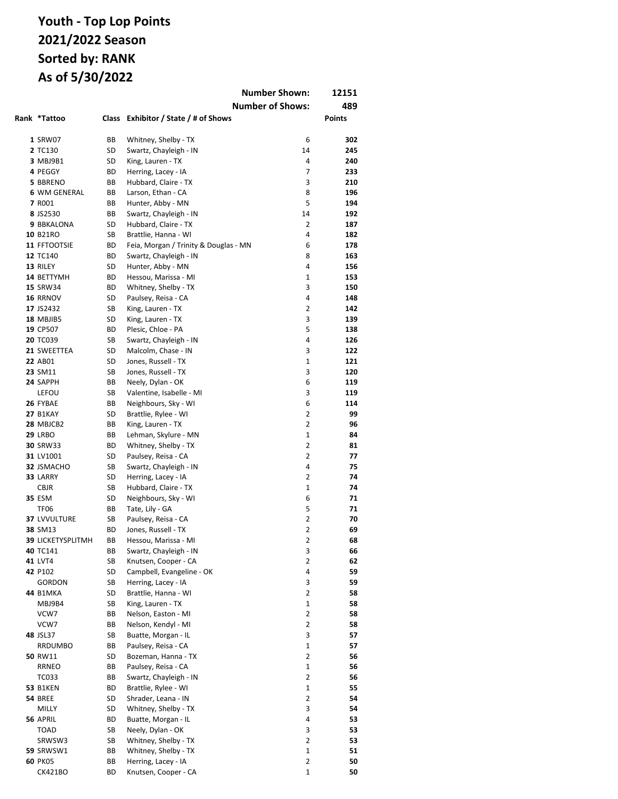|                               |           |                                                | <b>Number Shown:</b>    | 12151         |
|-------------------------------|-----------|------------------------------------------------|-------------------------|---------------|
|                               |           |                                                | <b>Number of Shows:</b> | 489           |
| Rank *Tattoo                  | Class     | Exhibitor / State / # of Shows                 |                         | <b>Points</b> |
|                               |           |                                                |                         |               |
| 1 SRW07                       | ВB        | Whitney, Shelby - TX                           | 6                       | 302           |
| 2 TC130                       | SD        | Swartz, Chayleigh - IN                         | 14                      | 245           |
| 3 MBJ9B1                      | SD        | King, Lauren - TX                              | 4                       | 240           |
| 4 PEGGY                       | ВD        | Herring, Lacey - IA                            | 7                       | 233           |
| 5 BBRENO                      | ВB        | Hubbard, Claire - TX                           | 3                       | 210           |
| 6 WM GENERAL                  | ВB        | Larson, Ethan - CA                             | 8                       | 196           |
| 7 R001                        | ВB        | Hunter, Abby - MN                              | 5                       | 194           |
| 8 JS2530                      | ВB        | Swartz, Chayleigh - IN                         | 14                      | 192           |
| 9 BBKALONA                    | SD        | Hubbard, Claire - TX                           | $\overline{2}$          | 187           |
| 10 B21RO                      | SB        | Brattlie, Hanna - WI                           | 4                       | 182           |
| 11 FFTOOTSIE                  | ВD        | Feia, Morgan / Trinity & Douglas - MN          | 6                       | 178           |
| 12 TC140                      | ВD        | Swartz, Chayleigh - IN                         | 8                       | 163           |
| 13 RILEY                      | SD        | Hunter, Abby - MN                              | 4                       | 156           |
| 14 BETTYMH<br><b>15 SRW34</b> | ВD        | Hessou, Marissa - MI                           | 1                       | 153           |
| 16 RRNOV                      | ВD<br>SD  | Whitney, Shelby - TX                           | 3<br>4                  | 150<br>148    |
| 17 JS2432                     | SB        | Paulsey, Reisa - CA<br>King, Lauren - TX       | 2                       | 142           |
| 18 MBJIB5                     | SD        | King, Lauren - TX                              | 3                       | 139           |
| 19 CP507                      | ВD        | Plesic, Chloe - PA                             | 5                       | 138           |
| 20 TC039                      | SB        | Swartz, Chayleigh - IN                         | 4                       | 126           |
| 21 SWEETTEA                   | SD        | Malcolm, Chase - IN                            | 3                       | 122           |
| 22 AB01                       | SD        | Jones, Russell - TX                            | 1                       | 121           |
| 23 SM11                       | SB        | Jones, Russell - TX                            | 3                       | 120           |
| 24 SAPPH                      | ВB        | Neely, Dylan - OK                              | 6                       | 119           |
| LEFOU                         | SB        | Valentine, Isabelle - MI                       | 3                       | 119           |
| 26 FYBAE                      | ВB        | Neighbours, Sky - WI                           | 6                       | 114           |
| <b>27 B1KAY</b>               | SD        | Brattlie, Rylee - WI                           | 2                       | 99            |
| 28 MBJCB2                     | ВB        | King, Lauren - TX                              | $\overline{2}$          | 96            |
| <b>29 LRBO</b>                | ВB        | Lehman, Skylure - MN                           | 1                       | 84            |
| 30 SRW33                      | ВD        | Whitney, Shelby - TX                           | 2                       | 81            |
| 31 LV1001                     | SD        | Paulsey, Reisa - CA                            | $\overline{2}$          | 77            |
| 32 JSMACHO                    | SB        | Swartz, Chayleigh - IN                         | 4                       | 75            |
| 33 LARRY                      | SD        | Herring, Lacey - IA                            | $\overline{2}$          | 74            |
| <b>CBJR</b>                   | SB        | Hubbard, Claire - TX                           | $\mathbf{1}$            | 74            |
| <b>35 ESM</b>                 | SD        | Neighbours, Sky - WI                           | 6                       | 71            |
| <b>TF06</b>                   | ВB        | Tate, Lily - GA                                | 5                       | 71            |
| 37 LVVULTURE                  | SB        | Paulsey, Reisa - CA                            | 2                       | 70            |
| 38 SM13                       | <b>BD</b> | Jones, Russell - TX                            | $\overline{2}$          | 69            |
| 39 LICKETYSPLITMH<br>40 TC141 | ВB<br>BВ  | Hessou, Marissa - MI                           | 2<br>3                  | 68            |
| 41 LVT4                       | SB        | Swartz, Chayleigh - IN<br>Knutsen, Cooper - CA | 2                       | 66<br>62      |
| 42 P102                       | SD        | Campbell, Evangeline - OK                      | 4                       | 59            |
| <b>GORDON</b>                 | SB        | Herring, Lacey - IA                            | 3                       | 59            |
| <b>44 B1MKA</b>               | SD        | Brattlie, Hanna - WI                           | 2                       | 58            |
| MBJ9B4                        | SB        | King, Lauren - TX                              | 1                       | 58            |
| VCW7                          | BВ        | Nelson, Easton - MI                            | 2                       | 58            |
| VCW7                          | ВB        | Nelson, Kendyl - MI                            | 2                       | 58            |
| <b>48 JSL37</b>               | SB        | Buatte, Morgan - IL                            | 3                       | 57            |
| RRDUMBO                       | BВ        | Paulsey, Reisa - CA                            | 1                       | 57            |
| 50 RW11                       | SD        | Bozeman, Hanna - TX                            | 2                       | 56            |
| <b>RRNEO</b>                  | ВB        | Paulsey, Reisa - CA                            | $\mathbf{1}$            | 56            |
| TC033                         | ВB        | Swartz, Chayleigh - IN                         | 2                       | 56            |
| <b>53 B1KEN</b>               | ВD        | Brattlie, Rylee - WI                           | 1                       | 55            |
| <b>54 BREE</b>                | SD        | Shrader, Leana - IN                            | 2                       | 54            |
| MILLY                         | SD        | Whitney, Shelby - TX                           | 3                       | 54            |
| 56 APRIL                      | ВD        | Buatte, Morgan - IL                            | 4                       | 53            |
| TOAD                          | SB        | Neely, Dylan - OK                              | 3                       | 53            |
| SRWSW3                        | SB        | Whitney, Shelby - TX                           | 2                       | 53            |
| <b>59 SRWSW1</b>              | ВB        | Whitney, Shelby - TX                           | $\mathbf 1$             | 51            |
| <b>60 PK05</b>                | ВB        | Herring, Lacey - IA                            | $\overline{2}$          | 50            |
| CK421BO                       | ВD        | Knutsen, Cooper - CA                           | 1                       | 50            |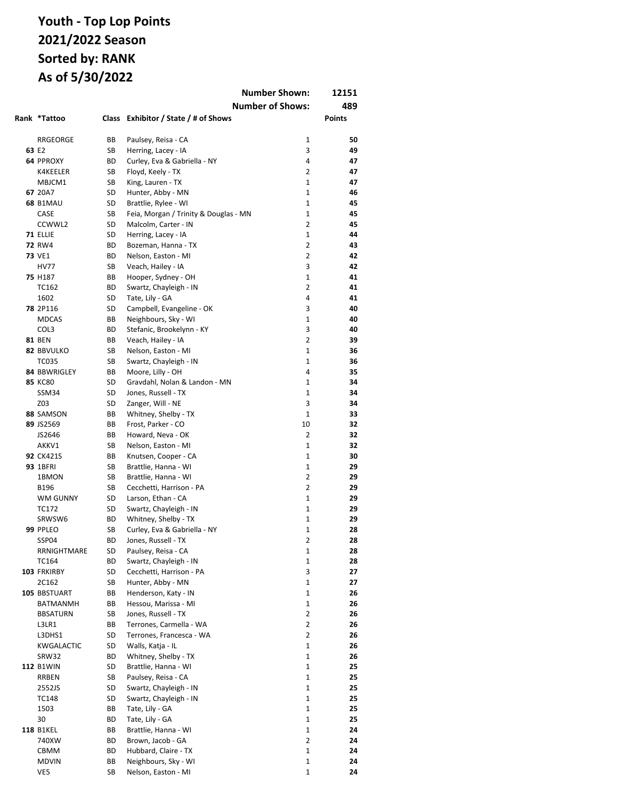|                           |          |                                              | <b>Number Shown:</b>    | 12151         |
|---------------------------|----------|----------------------------------------------|-------------------------|---------------|
|                           |          |                                              | <b>Number of Shows:</b> | 489           |
| Rank *Tattoo              |          | Class Exhibitor / State / # of Shows         |                         | <b>Points</b> |
|                           |          |                                              |                         |               |
| RRGEORGE                  | ВB       | Paulsey, Reisa - CA                          | $\mathbf{1}$            | 50            |
| 63 E2                     | SB       | Herring, Lacey - IA                          | 3                       | 49            |
| 64 PPROXY                 | ВD       | Curley, Eva & Gabriella - NY                 | 4                       | 47            |
| K4KEELER                  | SB       | Floyd, Keely - TX                            | 2                       | 47            |
| MBJCM1                    | SB       | King, Lauren - TX                            | $\mathbf{1}$            | 47            |
| 67 20A7                   | SD       | Hunter, Abby - MN                            | $\mathbf{1}$            | 46            |
| <b>68 B1MAU</b>           | SD       | Brattlie, Rylee - WI                         | $\mathbf{1}$            | 45            |
| CASE                      | SB       | Feia, Morgan / Trinity & Douglas - MN        | $\mathbf{1}$            | 45            |
| CCWWL2                    | SD       | Malcolm, Carter - IN                         | $\overline{2}$          | 45            |
| 71 ELLIE                  | SD       | Herring, Lacey - IA                          | $\mathbf{1}$            | 44            |
| <b>72 RW4</b>             | BD       | Bozeman, Hanna - TX                          | 2                       | 43            |
| <b>73 VE1</b>             | ВD       | Nelson, Easton - MI                          | $\overline{2}$          | 42            |
| <b>HV77</b>               | SB       | Veach, Hailey - IA                           | 3                       | 42            |
| 75 H187                   | BВ       | Hooper, Sydney - OH                          | 1                       | 41            |
| <b>TC162</b>              | ВD       | Swartz, Chayleigh - IN                       | 2                       | 41            |
| 1602                      | SD       | Tate, Lily - GA                              | 4                       | 41            |
| <b>78 2P116</b>           | SD       | Campbell, Evangeline - OK                    | 3                       | 40            |
| <b>MDCAS</b>              | BВ       | Neighbours, Sky - WI                         | $\mathbf{1}$            | 40            |
| COL3                      | ВD       | Stefanic, Brookelynn - KY                    | 3                       | 40            |
| <b>81 BEN</b>             | ВB       | Veach, Hailey - IA                           | 2                       | 39            |
| 82 BBVULKO                | SB       | Nelson, Easton - MI                          | 1                       | 36            |
| TC035                     | SB       | Swartz, Chayleigh - IN                       | 1                       | 36            |
| 84 BBWRIGLEY              | BВ       | Moore, Lilly - OH                            | 4                       | 35            |
| <b>85 KC80</b>            | SD       | Gravdahl, Nolan & Landon - MN                | 1                       | 34            |
| SSM34                     | SD       | Jones, Russell - TX                          | 1                       | 34            |
| Z03                       | SD       | Zanger, Will - NE                            | 3                       | 34            |
| 88 SAMSON                 | BВ       | Whitney, Shelby - TX                         | $\mathbf{1}$            | 33            |
| 89 JS2569                 | BВ       | Frost, Parker - CO                           | 10                      | 32            |
| JS2646                    | BB       | Howard, Neva - OK                            | $\overline{2}$<br>1     | 32            |
| AKKV1<br><b>92 CK421S</b> | SB<br>BВ | Nelson, Easton - MI                          | 1                       | 32<br>30      |
| <b>93 1BFRI</b>           | SB       | Knutsen, Cooper - CA<br>Brattlie, Hanna - WI | $\mathbf{1}$            | 29            |
| 1BMON                     | SB       | Brattlie, Hanna - WI                         | $\overline{2}$          | 29            |
| B196                      | SB       | Cecchetti, Harrison - PA                     | 2                       | 29            |
| <b>WM GUNNY</b>           | SD       | Larson, Ethan - CA                           | $\mathbf{1}$            | 29            |
| TC172                     | SD       | Swartz, Chayleigh - IN                       | $\mathbf{1}$            | 29            |
| SRWSW6                    | ВD       | Whitney, Shelby - TX                         | $\mathbf{1}$            | 29            |
| 99 PPLEO                  | SB       | Curley, Eva & Gabriella - NY                 | 1                       | 28            |
| SSP04                     | ВD       | Jones, Russell - TX                          | 2                       | 28            |
| RRNIGHTMARE               | SD       | Paulsey, Reisa - CA                          | 1                       | 28            |
| TC164                     | ВD       | Swartz, Chayleigh - IN                       | 1                       | 28            |
| 103 FRKIRBY               | SD       | Cecchetti, Harrison - PA                     | 3                       | 27            |
| 2C162                     | SB       | Hunter, Abby - MN                            | $\mathbf 1$             | 27            |
| 105 BBSTUART              | ВB       | Henderson, Katy - IN                         | $\mathbf 1$             | 26            |
| <b>BATMANMH</b>           | ВB       | Hessou, Marissa - MI                         | 1                       | 26            |
| <b>BBSATURN</b>           | SB       | Jones, Russell - TX                          | 2                       | 26            |
| L3LR1                     | ВB       | Terrones, Carmella - WA                      | 2                       | 26            |
| L3DHS1                    | SD       | Terrones, Francesca - WA                     | $\overline{2}$          | 26            |
| KWGALACTIC                | SD       | Walls, Katja - IL                            | 1                       | 26            |
| SRW32                     | ВD       | Whitney, Shelby - TX                         | 1                       | 26            |
| <b>112 B1WIN</b>          | SD       | Brattlie, Hanna - WI                         | $\mathbf 1$             | 25            |
| RRBEN                     | SB       | Paulsey, Reisa - CA                          | 1                       | 25            |
| 2552JS                    | SD       | Swartz, Chayleigh - IN                       | 1                       | 25            |
| TC148                     | SD       | Swartz, Chayleigh - IN                       | 1                       | 25            |
| 1503                      | ВB       | Tate, Lily - GA                              | 1                       | 25            |
| 30                        | ВD       | Tate, Lily - GA                              | 1                       | 25            |
| <b>118 B1KEL</b>          | ВB       | Brattlie, Hanna - WI                         | 1                       | 24            |
| 740XW                     | ВD       | Brown, Jacob - GA                            | 2                       | 24            |
| CBMM                      | ВD       | Hubbard, Claire - TX                         | $\mathbf 1$             | 24            |
| <b>MDVIN</b>              | ВB       | Neighbours, Sky - WI                         | 1                       | 24            |
| VE5                       | SB       | Nelson, Easton - MI                          | 1                       | 24            |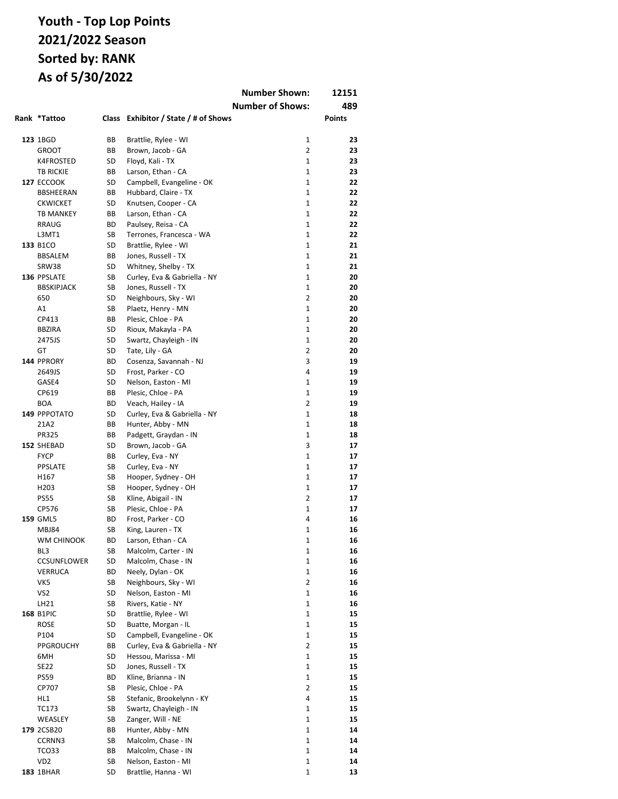|                                  |           |                                           | <b>Number Shown:</b>         | 12151         |
|----------------------------------|-----------|-------------------------------------------|------------------------------|---------------|
|                                  |           |                                           | <b>Number of Shows:</b>      | 489           |
| Rank *Tattoo                     |           | Class Exhibitor / State / # of Shows      |                              | <b>Points</b> |
|                                  |           |                                           |                              |               |
| 123 1BGD                         | BВ        | Brattlie, Rylee - WI                      | $\mathbf{1}$                 | 23            |
| <b>GROOT</b>                     | BB        | Brown, Jacob - GA                         | 2                            | 23            |
| <b>K4FROSTED</b>                 | SD        | Floyd, Kali - TX                          | 1                            | 23            |
| <b>TB RICKIE</b>                 | BВ        | Larson, Ethan - CA                        | $\mathbf{1}$                 | 23            |
| <b>127 ECCOOK</b>                | SD        | Campbell, Evangeline - OK                 | $\mathbf{1}$                 | 22            |
| BBSHEERAN                        | BB        | Hubbard, Claire - TX                      | 1                            | 22            |
| <b>CKWICKET</b>                  | SD        | Knutsen, Cooper - CA                      | $\mathbf{1}$                 | 22            |
| <b>TB MANKEY</b>                 | ВB        | Larson, Ethan - CA                        | $\mathbf{1}$                 | 22            |
| RRAUG                            | BD        | Paulsey, Reisa - CA                       | $\mathbf{1}$                 | 22            |
| L3MT1                            | SB        | Terrones, Francesca - WA                  | $\mathbf{1}$                 | 22            |
| 133 B1CO                         | SD        | Brattlie, Rylee - WI                      | $\mathbf{1}$                 | 21            |
| BBSALEM                          | BB        | Jones, Russell - TX                       | $\mathbf{1}$                 | 21            |
| SRW38                            | SD        | Whitney, Shelby - TX                      | $\mathbf{1}$                 | 21            |
| 136 PPSLATE<br><b>BBSKIPJACK</b> | SB        | Curley, Eva & Gabriella - NY              | $\mathbf{1}$<br>$\mathbf{1}$ | 20            |
|                                  | SB        | Jones, Russell - TX                       | $\overline{2}$               | 20            |
| 650                              | SD        | Neighbours, Sky - WI                      | $\mathbf{1}$                 | 20            |
| Α1<br>CP413                      | SB        | Plaetz, Henry - MN                        | $\mathbf{1}$                 | 20            |
| <b>BBZIRA</b>                    | BB<br>SD  | Plesic, Chloe - PA<br>Rioux, Makayla - PA | $\mathbf{1}$                 | 20<br>20      |
| 2475JS                           | SD        | Swartz, Chayleigh - IN                    | 1                            | 20            |
| GT                               | SD        | Tate, Lily - GA                           | 2                            | 20            |
| 144 PPRORY                       | ВD        | Cosenza, Savannah - NJ                    | 3                            | 19            |
| 2649JS                           | SD        | Frost, Parker - CO                        | 4                            | 19            |
| GASE4                            | SD        | Nelson, Easton - MI                       | 1                            | 19            |
| CP619                            | ВB        | Plesic, Chloe - PA                        | 1                            | 19            |
| <b>BOA</b>                       | ВD        | Veach, Hailey - IA                        | $\overline{2}$               | 19            |
| 149 PPPOTATO                     | SD        | Curley, Eva & Gabriella - NY              | 1                            | 18            |
| 21A2                             | ВB        | Hunter, Abby - MN                         | $\mathbf{1}$                 | 18            |
| PR325                            | BB        | Padgett, Graydan - IN                     | 1                            | 18            |
| 152 SHEBAD                       | SD        | Brown, Jacob - GA                         | 3                            | 17            |
| <b>FYCP</b>                      | BВ        | Curley, Eva - NY                          | $\mathbf{1}$                 | 17            |
| <b>PPSLATE</b>                   | SB        | Curley, Eva - NY                          | $\mathbf{1}$                 | 17            |
| H167                             | SB        | Hooper, Sydney - OH                       | 1                            | 17            |
| H203                             | SB        | Hooper, Sydney - OH                       | $\mathbf{1}$                 | 17            |
| <b>PS55</b>                      | SB        | Kline, Abigail - IN                       | $\overline{2}$               | 17            |
| CP576                            | SB        | Plesic, Chloe - PA                        | $\mathbf{1}$                 | 17            |
| <b>159 GML5</b>                  | <b>BD</b> | Frost, Parker - CO                        | 4                            | 16            |
| MBJ84                            | SB        | King, Lauren - TX                         | 1                            | 16            |
| WM CHINOOK                       | ВD        | Larson, Ethan - CA                        | $\mathbf 1$                  | 16            |
| BL3                              | SB        | Malcolm, Carter - IN                      | 1                            | 16            |
| <b>CCSUNFLOWER</b>               | SD        | Malcolm, Chase - IN                       | 1                            | 16            |
| VERRUCA                          | ВD        | Neely, Dylan - OK                         | 1                            | 16            |
| VK5                              | SB        | Neighbours, Sky - WI                      | 2                            | 16            |
| VS <sub>2</sub>                  | SD        | Nelson, Easton - MI                       | 1                            | 16            |
| LH21                             | SB        | Rivers, Katie - NY                        | 1                            | 16            |
| <b>168 B1PIC</b>                 | SD        | Brattlie, Rylee - WI                      | 1                            | 15            |
| <b>ROSE</b>                      | SD        | Buatte, Morgan - IL                       | 1                            | 15            |
| P104                             | SD        | Campbell, Evangeline - OK                 | 1                            | 15            |
| PPGROUCHY                        | ВB        | Curley, Eva & Gabriella - NY              | 2                            | 15            |
| 6MH                              | SD        | Hessou, Marissa - MI                      | 1                            | 15            |
| <b>SE22</b>                      | SD        | Jones, Russell - TX                       | 1                            | 15            |
| <b>PS59</b><br>CP707             | ВD        | Kline, Brianna - IN<br>Plesic, Chloe - PA | 1<br>2                       | 15            |
|                                  | SB<br>SB  | Stefanic, Brookelynn - KY                 | 4                            | 15            |
| HL1<br>TC173                     | SB        | Swartz, Chayleigh - IN                    | 1                            | 15<br>15      |
| WEASLEY                          | SB        | Zanger, Will - NE                         | 1                            | 15            |
| 179 2CSB20                       | ВB        | Hunter, Abby - MN                         | 1                            | 14            |
| CCRNN3                           | SB        | Malcolm, Chase - IN                       | 1                            | 14            |
| TCO33                            | ВB        | Malcolm, Chase - IN                       | $\mathbf{1}$                 | 14            |
| VD <sub>2</sub>                  | SB        | Nelson, Easton - MI                       | 1                            | 14            |
| <b>183 1BHAR</b>                 | SD        | Brattlie, Hanna - WI                      | 1                            | 13            |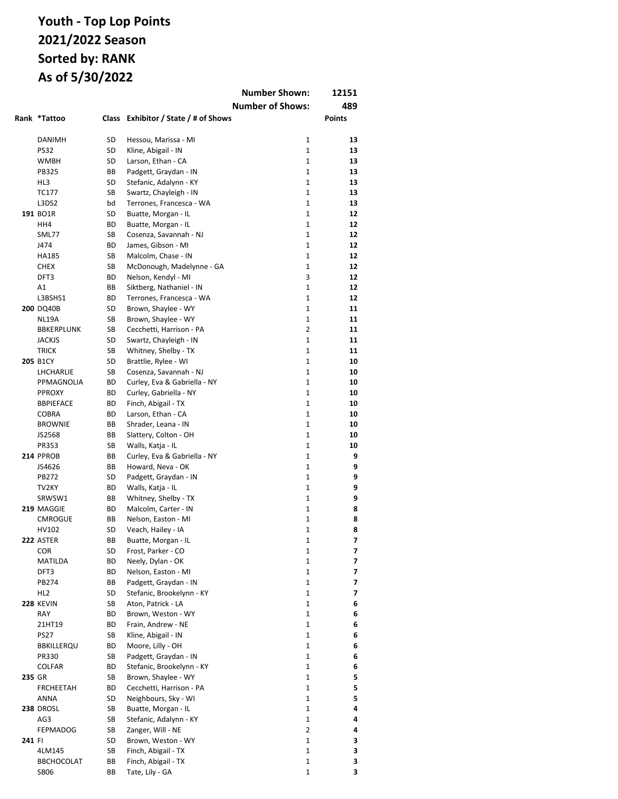|        |                              |          |                                                  | <b>Number Shown:</b>          | 12151         |
|--------|------------------------------|----------|--------------------------------------------------|-------------------------------|---------------|
|        |                              |          |                                                  | <b>Number of Shows:</b>       | 489           |
|        | Rank *Tattoo                 |          | Class Exhibitor / State / # of Shows             |                               | <b>Points</b> |
|        |                              |          |                                                  |                               |               |
|        | DANIMH                       | SD       | Hessou, Marissa - MI                             | $\mathbf 1$                   | 13            |
|        | <b>PS32</b>                  | SD       | Kline, Abigail - IN                              | $\mathbf{1}$                  | 13            |
|        | <b>WMBH</b>                  | SD       | Larson, Ethan - CA                               | $\mathbf{1}$                  | 13            |
|        | <b>PB325</b>                 | BВ       | Padgett, Graydan - IN                            | $\mathbf{1}$                  | 13            |
|        | HL3                          | SD       | Stefanic, Adalynn - KY                           | $\mathbf{1}$                  | 13            |
|        | TC177                        | SB       | Swartz, Chayleigh - IN                           | $\mathbf{1}$                  | 13            |
|        | L3DS2                        | bd       | Terrones, Francesca - WA                         | $\mathbf{1}$                  | 13            |
|        | 191 BO1R                     | SD       | Buatte, Morgan - IL                              | $\mathbf{1}$                  | 12            |
|        | HH4                          | ВD       | Buatte, Morgan - IL                              | $\mathbf{1}$                  | 12            |
|        | SML77                        | SB       | Cosenza, Savannah - NJ                           | $\mathbf{1}$                  | 12            |
|        | J474                         | ВD       | James, Gibson - MI                               | $\mathbf{1}$                  | 12            |
|        | HA185<br><b>CHEX</b>         | SB<br>SB | Malcolm, Chase - IN                              | $\mathbf{1}$<br>$\mathbf{1}$  | 12<br>12      |
|        | DFT3                         | ВD       | McDonough, Madelynne - GA<br>Nelson, Kendyl - MI | 3                             | 12            |
|        | A1                           | BВ       | Siktberg, Nathaniel - IN                         | $\mathbf{1}$                  | 12            |
|        | L3BSHS1                      | ВD       | Terrones, Francesca - WA                         | $\mathbf{1}$                  | 12            |
|        | <b>200 DQ40B</b>             | SD       | Brown, Shaylee - WY                              | $\mathbf{1}$                  | 11            |
|        | NL19A                        | SB       | Brown, Shaylee - WY                              | $\mathbf{1}$                  | 11            |
|        | <b>BBKERPLUNK</b>            | SB       | Cecchetti, Harrison - PA                         | $\overline{2}$                | 11            |
|        | <b>JACKJS</b>                | SD       | Swartz, Chayleigh - IN                           | 1                             | 11            |
|        | <b>TRICK</b>                 | SB       | Whitney, Shelby - TX                             | $\mathbf{1}$                  | 11            |
|        | <b>205 B1CY</b>              | SD       | Brattlie, Rylee - WI                             | 1                             | 10            |
|        | LHCHARLIE                    | SB       | Cosenza, Savannah - NJ                           | $\mathbf 1$                   | 10            |
|        | PPMAGNOLIA                   | ВD       | Curley, Eva & Gabriella - NY                     | $\mathbf 1$                   | 10            |
|        | <b>PPROXY</b>                | ВD       | Curley, Gabriella - NY                           | $\mathbf{1}$                  | 10            |
|        | <b>BBPIEFACE</b>             | ВD       | Finch, Abigail - TX                              | $\mathbf{1}$                  | 10            |
|        | <b>COBRA</b>                 | ВD       | Larson, Ethan - CA                               | $\mathbf{1}$                  | 10            |
|        | <b>BROWNIE</b>               | BВ       | Shrader, Leana - IN                              | $\mathbf{1}$                  | 10            |
|        | JS2568                       | BB       | Slattery, Colton - OH                            | $\mathbf{1}$                  | 10            |
|        | PR353                        | SB       | Walls, Katja - IL                                | $\mathbf{1}$                  | 10            |
|        | 214 PPROB                    | BВ       | Curley, Eva & Gabriella - NY                     | $\mathbf{1}$                  | 9             |
|        | JS4626                       | ВB       | Howard, Neva - OK                                | $\mathbf{1}$                  | 9             |
|        | PB272                        | SD       | Padgett, Graydan - IN                            | $\mathbf{1}$                  | 9             |
|        | TV <sub>2KY</sub>            | ВD       | Walls, Katja - IL                                | $\mathbf{1}$                  | 9             |
|        | SRWSW1                       | ВB       | Whitney, Shelby - TX                             | $\mathbf{1}$<br>$\mathbf{1}$  | 9             |
|        | 219 MAGGIE<br><b>CMROGUE</b> | ВD<br>BB | Malcolm, Carter - IN                             | $\mathbf{1}$                  | 8<br>8        |
|        | HV102                        | SD       | Nelson, Easton - MI<br>Veach, Hailey - IA        | 1                             | 8             |
|        | 222 ASTER                    | ВB       |                                                  | 1                             | 7             |
|        | <b>COR</b>                   | SD       | Buatte, Morgan - IL<br>Frost, Parker - CO        | 1                             | 7             |
|        | <b>MATILDA</b>               | ВD       | Neely, Dylan - OK                                | $\mathbf 1$                   | 7             |
|        | DFT3                         | ВD       | Nelson, Easton - MI                              | $\mathbf{1}$                  | 7             |
|        | PB274                        | ВB       | Padgett, Graydan - IN                            | $\mathbf 1$                   | 7             |
|        | HL <sub>2</sub>              | SD       | Stefanic, Brookelynn - KY                        | $\mathbf{1}$                  | 7             |
|        | 228 KEVIN                    | SB       | Aton, Patrick - LA                               | $\mathbf 1$                   | 6             |
|        | RAY                          | ВD       | Brown, Weston - WY                               | $\mathbf 1$                   | 6             |
|        | 21HT19                       | ВD       | Frain, Andrew - NE                               | $\mathbf 1$                   | 6             |
|        | <b>PS27</b>                  | SB       | Kline, Abigail - IN                              | $\mathbf 1$                   | 6             |
|        | <b>BBKILLERQU</b>            | ВD       | Moore, Lilly - OH                                | $\mathbf 1$                   | 6             |
|        | PR330                        | SB       | Padgett, Graydan - IN                            | $\mathbf 1$                   | 6             |
|        | <b>COLFAR</b>                | ВD       | Stefanic, Brookelynn - KY                        | $\mathbf 1$                   | 6             |
| 235 GR |                              | SB       | Brown, Shaylee - WY                              | $\mathbf 1$                   | 5             |
|        | <b>FRCHEETAH</b>             | ВD       | Cecchetti, Harrison - PA                         | $\mathbf 1$                   | 5             |
|        | ANNA                         | SD       | Neighbours, Sky - WI                             | $\mathbf 1$                   | 5             |
|        | <b>238 DROSL</b>             | SB       | Buatte, Morgan - IL                              | $\mathbf 1$                   | 4             |
|        | AG3                          | SB       | Stefanic, Adalynn - KY                           | $\mathbf 1$                   | 4             |
|        | <b>FEPMADOG</b>              | SB<br>SD | Zanger, Will - NE<br>Brown, Weston - WY          | $\overline{2}$<br>$\mathbf 1$ | 4<br>3        |
| 241 FI | 4LM145                       | SB       | Finch, Abigail - TX                              | $\mathbf 1$                   | 3             |
|        | <b>BBCHOCOLAT</b>            | ВB       | Finch, Abigail - TX                              | $\mathbf 1$                   | 3             |
|        | <b>SB06</b>                  | ВB       | Tate, Lily - GA                                  | 1                             | 3             |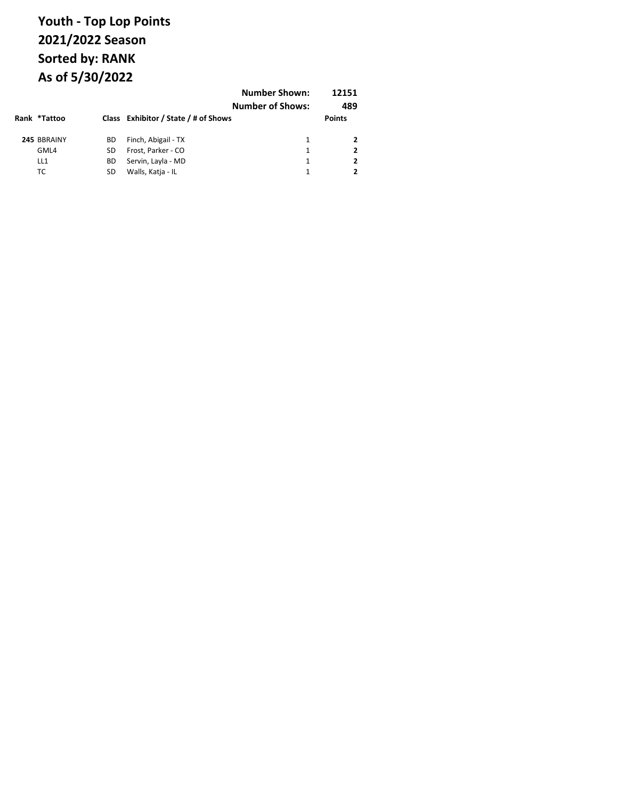| Rank *Tattoo |    | Class Exhibitor / State / # of Shows | <b>Number Shown:</b><br><b>Number of Shows:</b> | 12151<br>489<br><b>Points</b> |
|--------------|----|--------------------------------------|-------------------------------------------------|-------------------------------|
| 245 BBRAINY  | ВD | Finch, Abigail - TX                  | 1                                               |                               |
| GML4         | SD | Frost, Parker - CO                   | 1                                               |                               |
| LL1          | ВD | Servin, Layla - MD                   | 1                                               | 2                             |
| тс           | SD | Walls, Katja - IL                    | 1                                               |                               |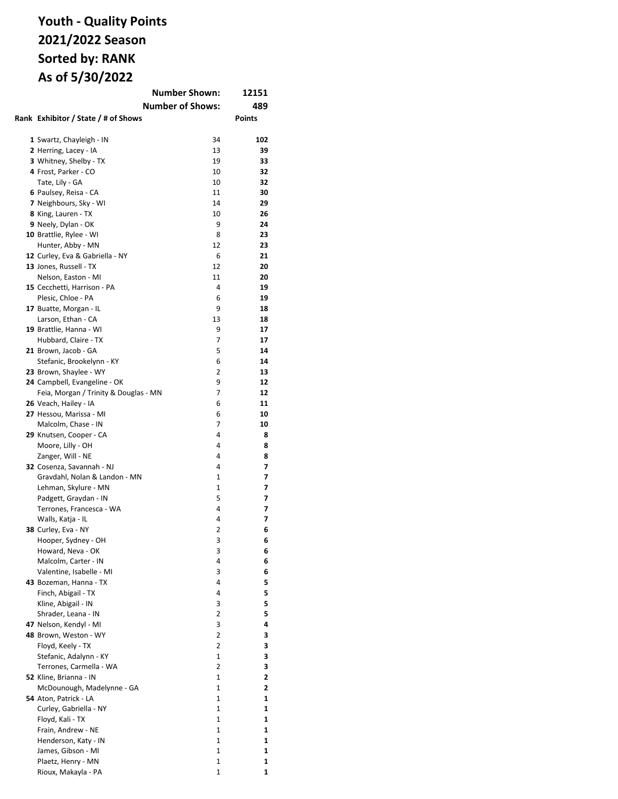## **Youth - Quality Points 2021/2022 Season Sorted by: RANK As of 5/30/2022**

| <b>Number Shown:</b><br>12151         |                         |        |  |
|---------------------------------------|-------------------------|--------|--|
|                                       | <b>Number of Shows:</b> | 489    |  |
|                                       |                         |        |  |
| Rank Exhibitor / State / # of Shows   |                         | Points |  |
|                                       |                         |        |  |
| 1 Swartz, Chayleigh - IN              | 34                      | 102    |  |
| 2 Herring, Lacey - IA                 | 13                      | 39     |  |
| 3 Whitney, Shelby - TX                | 19                      | 33     |  |
| 4 Frost, Parker - CO                  | 10                      | 32     |  |
| Tate, Lily - GA                       | 10                      | 32     |  |
| 6 Paulsey, Reisa - CA                 | 11                      | 30     |  |
| 7 Neighbours, Sky - WI                | 14                      | 29     |  |
| 8 King, Lauren - TX                   | 10                      | 26     |  |
| 9 Neely, Dylan - OK                   | 9                       | 24     |  |
| 10 Brattlie, Rylee - WI               | 8                       | 23     |  |
| Hunter, Abby - MN                     | 12                      | 23     |  |
| 12 Curley, Eva & Gabriella - NY       | 6                       | 21     |  |
| 13 Jones, Russell - TX                | 12                      | 20     |  |
| Nelson, Easton - MI                   | 11                      | 20     |  |
| 15 Cecchetti, Harrison - PA           | 4                       | 19     |  |
| Plesic, Chloe - PA                    | 6                       | 19     |  |
| 17 Buatte, Morgan - IL                | 9                       | 18     |  |
|                                       | 13                      | 18     |  |
| Larson, Ethan - CA                    |                         |        |  |
| 19 Brattlie, Hanna - WI               | 9                       | 17     |  |
| Hubbard, Claire - TX                  | 7                       | 17     |  |
| 21 Brown, Jacob - GA                  | 5                       | 14     |  |
| Stefanic, Brookelynn - KY             | 6                       | 14     |  |
| 23 Brown, Shaylee - WY                | 2                       | 13     |  |
| 24 Campbell, Evangeline - OK          | 9                       | 12     |  |
| Feia, Morgan / Trinity & Douglas - MN | 7                       | 12     |  |
| 26 Veach, Hailey - IA                 | 6                       | 11     |  |
| 27 Hessou, Marissa - MI               | 6                       | 10     |  |
| Malcolm, Chase - IN                   | 7                       | 10     |  |
| 29 Knutsen, Cooper - CA               | 4                       | 8      |  |
| Moore, Lilly - OH                     | 4                       | 8      |  |
| Zanger, Will - NE                     | 4                       | 8      |  |
| 32 Cosenza, Savannah - NJ             | 4                       | 7      |  |
| Gravdahl, Nolan & Landon - MN         | 1                       | 7      |  |
| Lehman, Skylure - MN                  | 1                       | 7      |  |
| Padgett, Graydan - IN                 | 5                       | 7      |  |
| Terrones, Francesca - WA              | 4                       | 7      |  |
| Walls, Katja - IL                     | 4                       | 7      |  |
| 38 Curley, Eva - NY                   | 2                       | 6      |  |
| Hooper, Sydney - OH                   | 3                       | 6      |  |
| Howard, Neva - OK                     | З                       | 6      |  |
| Malcolm, Carter - IN                  | 4                       | 6      |  |
| Valentine, Isabelle - MI              | 3                       | 6      |  |
| 43 Bozeman, Hanna - TX                | 4                       | 5      |  |
| Finch, Abigail - TX                   | 4                       | 5      |  |
| Kline, Abigail - IN                   | 3                       | 5      |  |
| Shrader, Leana - IN                   | 2                       | 5      |  |
| 47 Nelson, Kendyl - MI                | 3                       | 4      |  |
| 48 Brown, Weston - WY                 | 2                       | 3      |  |
| Floyd, Keely - TX                     | $\overline{2}$          | 3      |  |
| Stefanic, Adalynn - KY                | 1                       | 3      |  |
| Terrones, Carmella - WA               | 2                       | 3      |  |
| 52 Kline, Brianna - IN                | $\mathbf{1}$            | 2      |  |
| McDounough, Madelynne - GA            | 1                       | 2      |  |
| 54 Aton, Patrick - LA                 | 1                       | 1      |  |
| Curley, Gabriella - NY                | $\mathbf{1}$            | 1      |  |
| Floyd, Kali - TX                      | $\mathbf{1}$            | 1      |  |
| Frain, Andrew - NE                    | 1                       | 1      |  |
| Henderson, Katy - IN                  | 1                       | 1      |  |
| James, Gibson - MI                    | 1                       | 1      |  |
| Plaetz, Henry - MN                    | 1                       | 1      |  |
| Rioux, Makayla - PA                   | 1                       | 1      |  |
|                                       |                         |        |  |